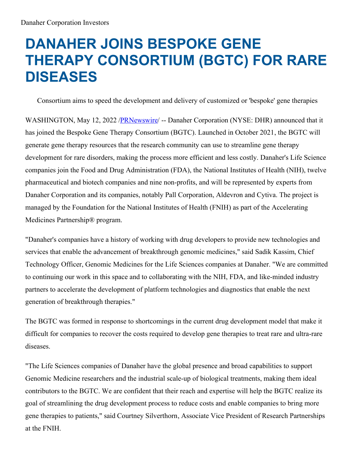## **DANAHER JOINS BESPOKE GENE THERAPY CONSORTIUM (BGTC) FOR RARE DISEASES**

Consortium aims to speed the development and delivery of customized or 'bespoke' gene therapies

WASHINGTON, May 12, 2022 [/PRNewswire](http://www.prnewswire.com/)/ -- Danaher Corporation (NYSE: DHR) announced that it has joined the Bespoke Gene Therapy Consortium (BGTC). Launched in October 2021, the BGTC will generate gene therapy resources that the research community can use to streamline gene therapy development for rare disorders, making the process more efficient and less costly. Danaher's Life Science companies join the Food and Drug Administration (FDA), the National Institutes of Health (NIH), twelve pharmaceutical and biotech companies and nine non-profits, and will be represented by experts from Danaher Corporation and its companies, notably Pall Corporation, Aldevron and Cytiva. The project is managed by the Foundation for the National Institutes of Health (FNIH) as part of the Accelerating Medicines Partnership® program.

"Danaher's companies have a history of working with drug developers to provide new technologies and services that enable the advancement of breakthrough genomic medicines," said Sadik Kassim, Chief Technology Officer, Genomic Medicines for the Life Sciences companies at Danaher. "We are committed to continuing our work in this space and to collaborating with the NIH, FDA, and like-minded industry partners to accelerate the development of platform technologies and diagnostics that enable the next generation of breakthrough therapies."

The BGTC was formed in response to shortcomings in the current drug development model that make it difficult for companies to recover the costs required to develop gene therapies to treat rare and ultra-rare diseases.

"The Life Sciences companies of Danaher have the global presence and broad capabilities to support Genomic Medicine researchers and the industrial scale-up of biological treatments, making them ideal contributors to the BGTC. We are confident that their reach and expertise will help the BGTC realize its goal of streamlining the drug development process to reduce costs and enable companies to bring more gene therapies to patients," said Courtney Silverthorn, Associate Vice President of Research Partnerships at the FNIH.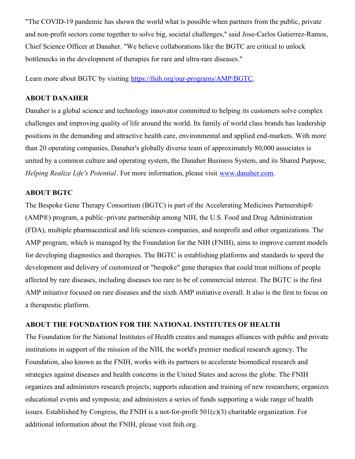"The COVID-19 pandemic has shown the world what is possible when partners from the public, private and non-profit sectors come together to solve big, societal challenges," said Jose-Carlos Gutierrez-Ramos, Chief Science Officer at Danaher. "We believe collaborations like the BGTC are critical to unlock bottlenecks in the development of therapies for rare and ultra-rare diseases."

Learn more about BGTC by visiting [https://fnih.org/our-programs/AMP/BGTC](https://c212.net/c/link/?t=0&l=en&o=3535719-1&h=3499785165&u=https%3A%2F%2Ffnih.org%2Four-programs%2FAMP%2FBGTC&a=https%3A%2F%2Ffnih.org%2Four-programs%2FAMP%2FBGTC).

## **ABOUT DANAHER**

Danaher is a global science and technology innovator committed to helping its customers solve complex challenges and improving quality of life around the world. Its family of world class brands has leadership positions in the demanding and attractive health care, environmental and applied end-markets. With more than 20 operating companies, Danaher's globally diverse team of approximately 80,000 associates is united by a common culture and operating system, the Danaher Business System, and its Shared Purpose, *Helping Realize Life's Potential*. For more information, please visit [www.danaher.com](https://c212.net/c/link/?t=0&l=en&o=3535719-1&h=2181593364&u=http%3A%2F%2Fwww.danaher.com%2F&a=www.danaher.com).

## **ABOUT BGTC**

The Bespoke Gene Therapy Consortium (BGTC) is part of the Accelerating Medicines Partnership® (AMP®) program, a public–private partnership among NIH, the U.S. Food and Drug Administration (FDA), multiple pharmaceutical and life sciences companies, and nonprofit and other organizations. The AMP program, which is managed by the Foundation for the NIH (FNIH), aims to improve current models for developing diagnostics and therapies. The BGTC is establishing platforms and standards to speed the development and delivery of customized or "bespoke" gene therapies that could treat millions of people affected by rare diseases, including diseases too rare to be of commercial interest. The BGTC is the first AMP initiative focused on rare diseases and the sixth AMP initiative overall. It also is the first to focus on a therapeutic platform.

## **ABOUT THE FOUNDATION FOR THE NATIONAL INSTITUTES OF HEALTH**

The Foundation for the National Institutes of Health creates and manages alliances with public and private institutions in support of the mission of the NIH, the world's premier medical research agency. The Foundation, also known as the FNIH, works with its partners to accelerate biomedical research and strategies against diseases and health concerns in the United States and across the globe. The FNIH organizes and administers research projects; supports education and training of new researchers; organizes educational events and symposia; and administers a series of funds supporting a wide range of health issues. Established by Congress, the FNIH is a not-for-profit 501(c)(3) charitable organization. For additional information about the FNIH, please visit fnih.org.